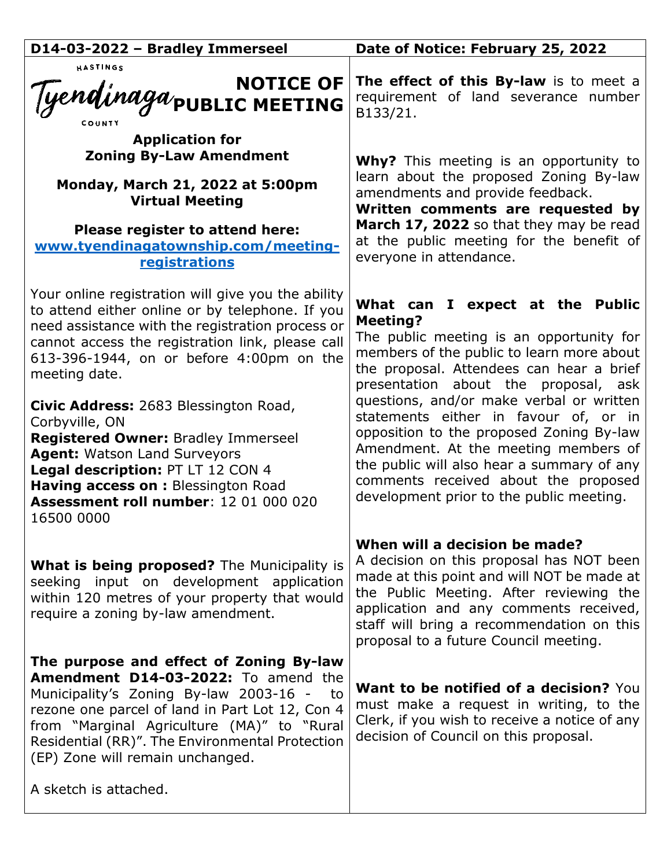| D14-03-2022 - Bradley Immerseel                                                                                                                                                                                                                                                                                           | Date of Notice: February 25, 2022                                                                                                                                                                                                                                                                       |
|---------------------------------------------------------------------------------------------------------------------------------------------------------------------------------------------------------------------------------------------------------------------------------------------------------------------------|---------------------------------------------------------------------------------------------------------------------------------------------------------------------------------------------------------------------------------------------------------------------------------------------------------|
| HASTINGS<br>NOTICE OF<br>Tyendinaga <sub>public</sub> Meeting                                                                                                                                                                                                                                                             | The effect of this By-law is to meet a<br>requirement of land severance number<br>B133/21.                                                                                                                                                                                                              |
| <b>Application for</b><br><b>Zoning By-Law Amendment</b>                                                                                                                                                                                                                                                                  | <b>Why?</b> This meeting is an opportunity to                                                                                                                                                                                                                                                           |
| Monday, March 21, 2022 at 5:00pm<br><b>Virtual Meeting</b>                                                                                                                                                                                                                                                                | learn about the proposed Zoning By-law<br>amendments and provide feedback.<br>Written comments are requested by                                                                                                                                                                                         |
| Please register to attend here:<br>www.tyendinagatownship.com/meeting-<br>registrations                                                                                                                                                                                                                                   | March 17, 2022 so that they may be read<br>at the public meeting for the benefit of<br>everyone in attendance.                                                                                                                                                                                          |
| Your online registration will give you the ability<br>to attend either online or by telephone. If you<br>need assistance with the registration process or<br>cannot access the registration link, please call<br>613-396-1944, on or before 4:00pm on the<br>meeting date.                                                | What can I expect at the Public<br><b>Meeting?</b><br>The public meeting is an opportunity for<br>members of the public to learn more about<br>the proposal. Attendees can hear a brief<br>presentation about the proposal, ask                                                                         |
| Civic Address: 2683 Blessington Road,<br>Corbyville, ON<br><b>Registered Owner: Bradley Immerseel</b><br>Agent: Watson Land Surveyors<br>Legal description: PT LT 12 CON 4<br>Having access on : Blessington Road<br>Assessment roll number: 12 01 000 020<br>16500 0000                                                  | questions, and/or make verbal or written<br>statements either in favour of, or in<br>opposition to the proposed Zoning By-law<br>Amendment. At the meeting members of<br>the public will also hear a summary of any<br>comments received about the proposed<br>development prior to the public meeting. |
| <b>What is being proposed?</b> The Municipality is<br>seeking input on development application<br>within 120 metres of your property that would<br>require a zoning by-law amendment.                                                                                                                                     | When will a decision be made?<br>A decision on this proposal has NOT been<br>made at this point and will NOT be made at<br>the Public Meeting. After reviewing the<br>application and any comments received,<br>staff will bring a recommendation on this<br>proposal to a future Council meeting.      |
| The purpose and effect of Zoning By-law<br>Amendment D14-03-2022: To amend the<br>Municipality's Zoning By-law 2003-16 -<br>to to<br>rezone one parcel of land in Part Lot 12, Con 4<br>from "Marginal Agriculture (MA)" to "Rural<br>Residential (RR)". The Environmental Protection<br>(EP) Zone will remain unchanged. | <b>Want to be notified of a decision?</b> You<br>must make a request in writing, to the<br>Clerk, if you wish to receive a notice of any<br>decision of Council on this proposal.                                                                                                                       |
| A sketch is attached.                                                                                                                                                                                                                                                                                                     |                                                                                                                                                                                                                                                                                                         |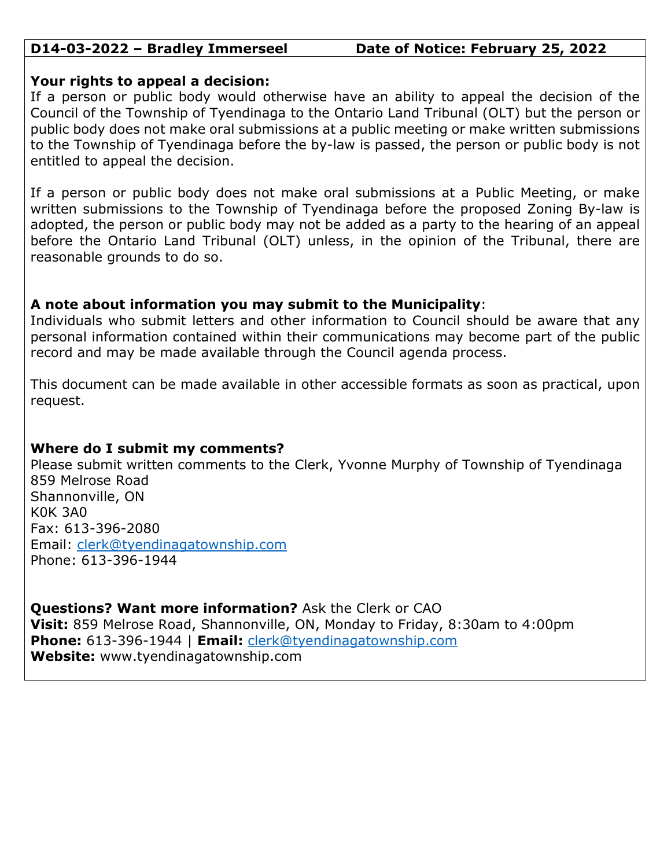## **D14-03-2022 – Bradley Immerseel Date of Notice: February 25, 2022**

## **Your rights to appeal a decision:**

If a person or public body would otherwise have an ability to appeal the decision of the Council of the Township of Tyendinaga to the Ontario Land Tribunal (OLT) but the person or public body does not make oral submissions at a public meeting or make written submissions to the Township of Tyendinaga before the by-law is passed, the person or public body is not entitled to appeal the decision.

If a person or public body does not make oral submissions at a Public Meeting, or make written submissions to the Township of Tyendinaga before the proposed Zoning By-law is adopted, the person or public body may not be added as a party to the hearing of an appeal before the Ontario Land Tribunal (OLT) unless, in the opinion of the Tribunal, there are reasonable grounds to do so.

# **A note about information you may submit to the Municipality**:

Individuals who submit letters and other information to Council should be aware that any personal information contained within their communications may become part of the public record and may be made available through the Council agenda process.

This document can be made available in other accessible formats as soon as practical, upon request.

# **Where do I submit my comments?**

Please submit written comments to the Clerk, Yvonne Murphy of Township of Tyendinaga 859 Melrose Road Shannonville, ON K0K 3A0 Fax: 613-396-2080 Email: [clerk@tyendinagatownship.com](mailto:clerk@tyendinagatownship.com) Phone: 613-396-1944

**Questions? Want more information?** Ask the Clerk or CAO **Visit:** 859 Melrose Road, Shannonville, ON, Monday to Friday, 8:30am to 4:00pm **Phone:** 613-396-1944 | **Email:** [clerk@tyendinagatownship.com](mailto:clerk@tyendinagatownship.com) **Website:** www.tyendinagatownship.com